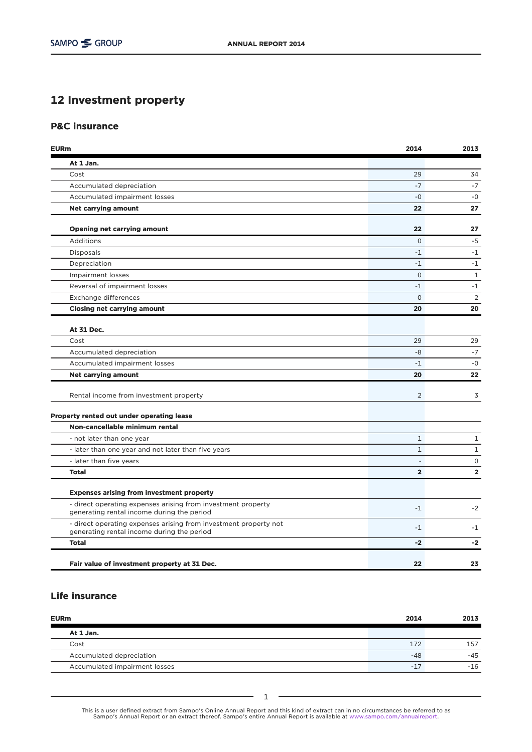## 12 Investment property

## P&C insurance

| <b>EURm</b>                                                                                                    | 2014                     | 2013           |
|----------------------------------------------------------------------------------------------------------------|--------------------------|----------------|
| At 1 Jan.                                                                                                      |                          |                |
| Cost                                                                                                           | 29                       | 34             |
| Accumulated depreciation                                                                                       | $-7$                     | $-7$           |
| Accumulated impairment losses                                                                                  | $-0$                     | $-0$           |
| <b>Net carrying amount</b>                                                                                     | 22                       | 27             |
| <b>Opening net carrying amount</b>                                                                             | 22                       | 27             |
| Additions                                                                                                      | $\Omega$                 | $-5$           |
| <b>Disposals</b>                                                                                               | $-1$                     | $-1$           |
| Depreciation                                                                                                   | $-1$                     | $-1$           |
| <b>Impairment losses</b>                                                                                       | $\Omega$                 | $\mathbf{1}$   |
| Reversal of impairment losses                                                                                  | $-1$                     | $-1$           |
| Exchange differences                                                                                           | $\Omega$                 | 2              |
| <b>Closing net carrying amount</b>                                                                             | 20                       | 20             |
| At 31 Dec.                                                                                                     |                          |                |
| Cost                                                                                                           | 29                       | 29             |
| Accumulated depreciation                                                                                       | -8                       | $-7$           |
| Accumulated impairment losses                                                                                  | $-1$                     | $-0$           |
| <b>Net carrying amount</b>                                                                                     | 20                       | 22             |
| Rental income from investment property                                                                         | $\overline{2}$           | 3              |
| Property rented out under operating lease                                                                      |                          |                |
| Non-cancellable minimum rental                                                                                 |                          |                |
| - not later than one year                                                                                      | $\mathbf{1}$             | $\mathbf{1}$   |
| - later than one year and not later than five years                                                            | $\mathbf{1}$             | $\mathbf 1$    |
| - later than five years                                                                                        | $\overline{\phantom{a}}$ | $\mathsf{O}$   |
| <b>Total</b>                                                                                                   | $\overline{2}$           | $\overline{2}$ |
| <b>Expenses arising from investment property</b>                                                               |                          |                |
| - direct operating expenses arising from investment property<br>generating rental income during the period     | $-1$                     | $-2$           |
| - direct operating expenses arising from investment property not<br>generating rental income during the period | $-1$                     | $-1$           |
| <b>Total</b>                                                                                                   | $-2$                     | $-2$           |
| Fair value of investment property at 31 Dec.                                                                   | 22                       | 23             |

## Life insurance

| <b>EURm</b>                   | 2014  | 2013  |
|-------------------------------|-------|-------|
| At 1 Jan.                     |       |       |
| Cost                          | 172   | 157   |
| Accumulated depreciation      | $-48$ | -45   |
| Accumulated impairment losses | $-17$ | $-16$ |

This is a user defined extract from Sampo's Online Annual Report and this kind of extract can in no circumstances be referred to as<br>Sampo's Annual Report or an extract thereof. Sampo's entire Annual Report is available at